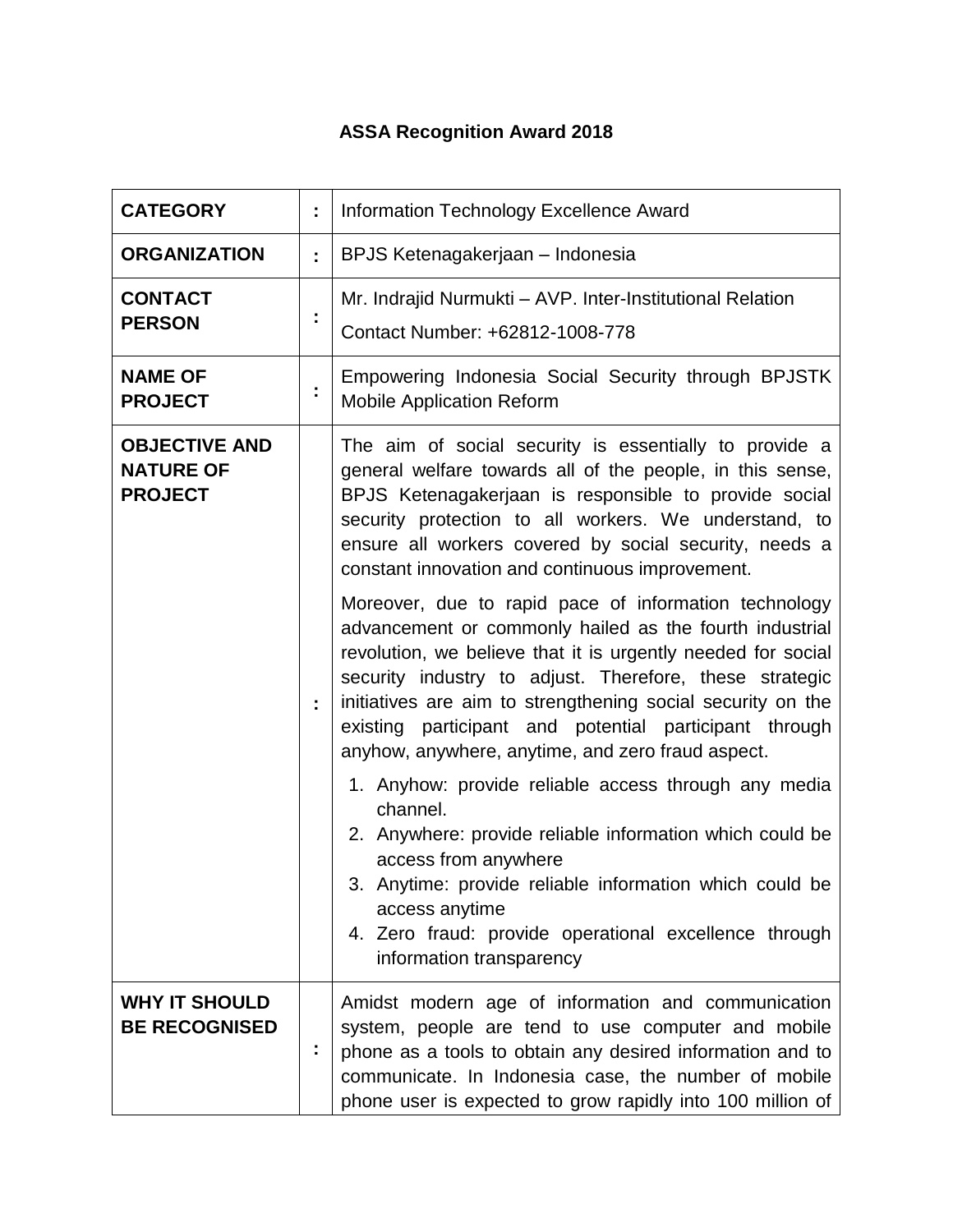## **ASSA Recognition Award 2018**

| <b>CATEGORY</b>                                            | ÷. | Information Technology Excellence Award                                                                                                                                                                                                                                                                                                                                                                                                                                                                                                                                                                                                                                                                                                                                                                                                                                                                         |
|------------------------------------------------------------|----|-----------------------------------------------------------------------------------------------------------------------------------------------------------------------------------------------------------------------------------------------------------------------------------------------------------------------------------------------------------------------------------------------------------------------------------------------------------------------------------------------------------------------------------------------------------------------------------------------------------------------------------------------------------------------------------------------------------------------------------------------------------------------------------------------------------------------------------------------------------------------------------------------------------------|
| <b>ORGANIZATION</b>                                        | ÷. | BPJS Ketenagakerjaan – Indonesia                                                                                                                                                                                                                                                                                                                                                                                                                                                                                                                                                                                                                                                                                                                                                                                                                                                                                |
| <b>CONTACT</b><br><b>PERSON</b>                            | t  | Mr. Indrajid Nurmukti – AVP. Inter-Institutional Relation<br>Contact Number: +62812-1008-778                                                                                                                                                                                                                                                                                                                                                                                                                                                                                                                                                                                                                                                                                                                                                                                                                    |
| <b>NAME OF</b><br><b>PROJECT</b>                           | İ, | Empowering Indonesia Social Security through BPJSTK<br><b>Mobile Application Reform</b>                                                                                                                                                                                                                                                                                                                                                                                                                                                                                                                                                                                                                                                                                                                                                                                                                         |
| <b>OBJECTIVE AND</b><br><b>NATURE OF</b><br><b>PROJECT</b> | ÷. | The aim of social security is essentially to provide a<br>general welfare towards all of the people, in this sense,<br>BPJS Ketenagakerjaan is responsible to provide social<br>security protection to all workers. We understand, to<br>ensure all workers covered by social security, needs a<br>constant innovation and continuous improvement.<br>Moreover, due to rapid pace of information technology<br>advancement or commonly hailed as the fourth industrial<br>revolution, we believe that it is urgently needed for social<br>security industry to adjust. Therefore, these strategic<br>initiatives are aim to strengthening social security on the<br>existing participant and potential participant through<br>anyhow, anywhere, anytime, and zero fraud aspect.<br>1. Anyhow: provide reliable access through any media<br>channel.<br>2. Anywhere: provide reliable information which could be |
|                                                            |    | access from anywhere<br>3. Anytime: provide reliable information which could be<br>access anytime<br>4. Zero fraud: provide operational excellence through<br>information transparency                                                                                                                                                                                                                                                                                                                                                                                                                                                                                                                                                                                                                                                                                                                          |
| <b>WHY IT SHOULD</b><br><b>BE RECOGNISED</b>               | Î  | Amidst modern age of information and communication<br>system, people are tend to use computer and mobile<br>phone as a tools to obtain any desired information and to<br>communicate. In Indonesia case, the number of mobile<br>phone user is expected to grow rapidly into 100 million of                                                                                                                                                                                                                                                                                                                                                                                                                                                                                                                                                                                                                     |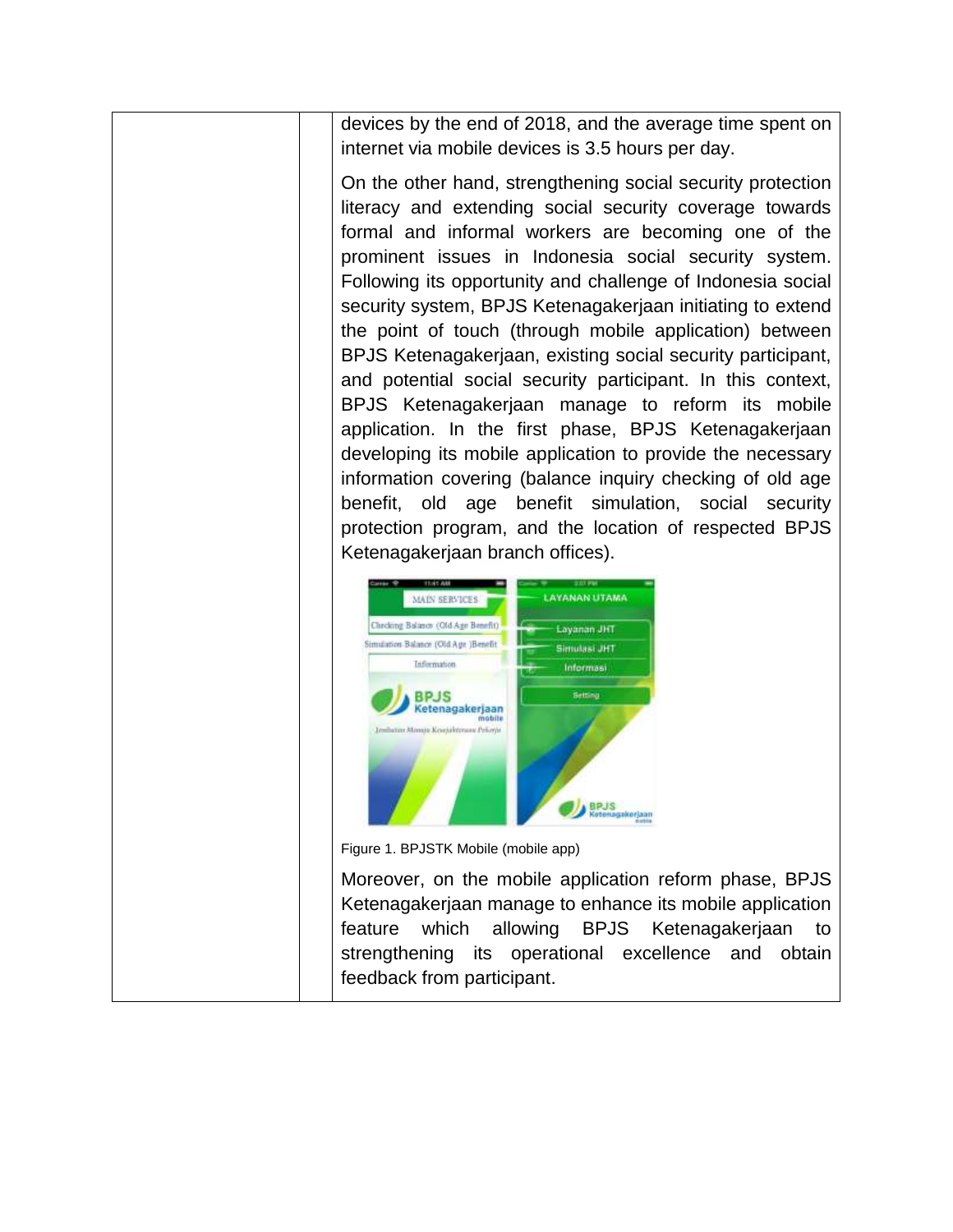devices by the end of 2018, and the average time spent on internet via mobile devices is 3.5 hours per day.

On the other hand, strengthening social security protection literacy and extending social security coverage towards formal and informal workers are becoming one of the prominent issues in Indonesia social security system. Following its opportunity and challenge of Indonesia social security system, BPJS Ketenagakerjaan initiating to extend the point of touch (through mobile application) between BPJS Ketenagakerjaan, existing social security participant, and potential social security participant. In this context, BPJS Ketenagakerjaan manage to reform its mobile application. In the first phase, BPJS Ketenagakerjaan developing its mobile application to provide the necessary information covering (balance inquiry checking of old age benefit, old age benefit simulation, social security protection program, and the location of respected BPJS Ketenagakerjaan branch offices).



Figure 1. BPJSTK Mobile (mobile app)

Moreover, on the mobile application reform phase, BPJS Ketenagakerjaan manage to enhance its mobile application feature which allowing BPJS Ketenagakerjaan to strengthening its operational excellence and obtain feedback from participant.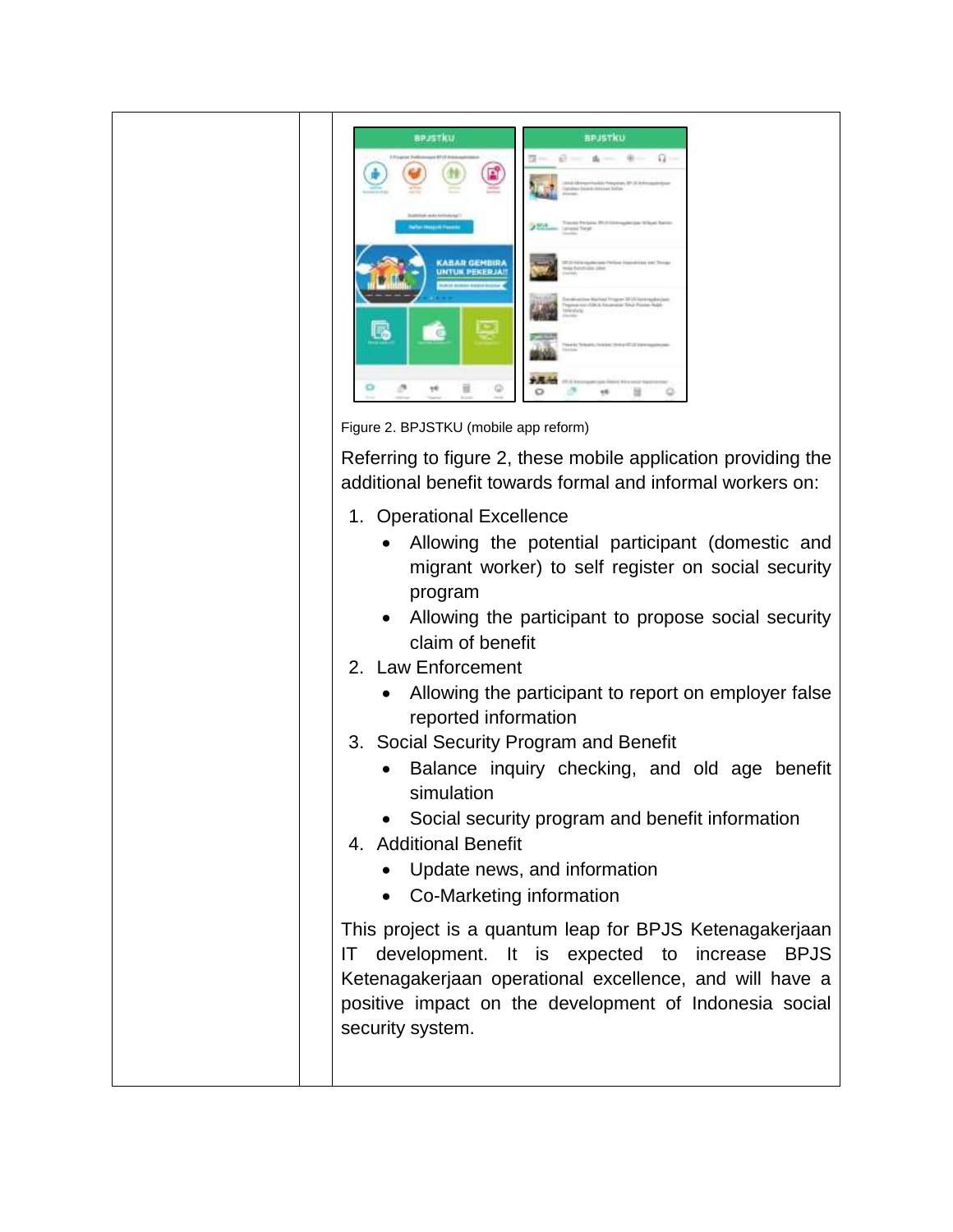| <b>BPJSTKU</b>                                                             | <b>BPJSTKU</b>                                                                                                                          |
|----------------------------------------------------------------------------|-----------------------------------------------------------------------------------------------------------------------------------------|
| A Fraughted Traditionsmand \$71.15 links<br>or from<br>All To              | $\alpha-$<br><b>Til term</b><br>The Street<br>Litteds MergerHunkly Principal PLUS Automatic<br>Transfere Date Automat Belley<br>reside. |
| Summitted and a bolivehouse 11<br><b>Baltist Massach Freedom</b>           | Treate Perfairs: IR/I Elliding person Wilson Barrer<br><b>PMA</b> cause begs                                                            |
| <b>KABAR GEMBIRA</b><br>UNTUK PEKERJAN<br><b>ROBERT BERRIK RADIO RODER</b> | 2012 Fold and contributed in the United States and Chicago<br>max french since planet<br>Premier                                        |
|                                                                            | Employment Market Program DEAN International<br>Fingers was ADA & Amazontas Total Rooke Rudol.<br>televatelui.<br>in the                |
|                                                                            | Therete Telesco, Telesco, Debut Telesco, Millard Schweizer<br>Market Product Product State                                              |
|                                                                            |                                                                                                                                         |

Figure 2. BPJSTKU (mobile app reform)

Referring to figure 2, these mobile application providing the additional benefit towards formal and informal workers on:

- 1. Operational Excellence
	- Allowing the potential participant (domestic and migrant worker) to self register on social security program
	- Allowing the participant to propose social security claim of benefit
- 2. Law Enforcement
	- Allowing the participant to report on employer false reported information
- 3. Social Security Program and Benefit
	- Balance inquiry checking, and old age benefit simulation
	- Social security program and benefit information
- 4. Additional Benefit
	- Update news, and information
	- Co-Marketing information

This project is a quantum leap for BPJS Ketenagakerjaan IT development. It is expected to increase BPJS Ketenagakerjaan operational excellence, and will have a positive impact on the development of Indonesia social security system.